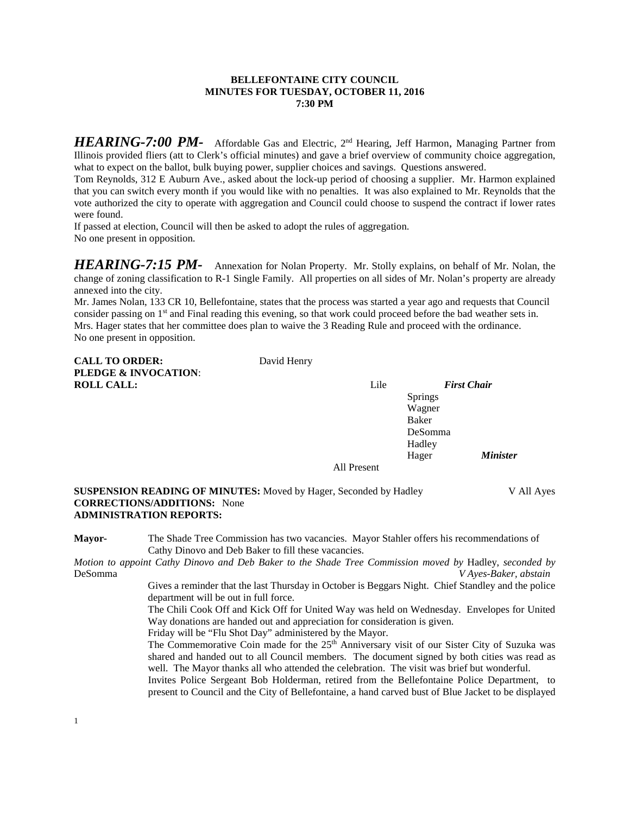### **BELLEFONTAINE CITY COUNCIL MINUTES FOR TUESDAY, OCTOBER 11, 2016 7:30 PM**

*HEARING-7:00 PM-* Affordable Gas and Electric, 2<sup>nd</sup> Hearing, Jeff Harmon, Managing Partner from Illinois provided fliers (att to Clerk's official minutes) and gave a brief overview of community choice aggregation, what to expect on the ballot, bulk buying power, supplier choices and savings. Questions answered.

Tom Reynolds, 312 E Auburn Ave., asked about the lock-up period of choosing a supplier. Mr. Harmon explained that you can switch every month if you would like with no penalties. It was also explained to Mr. Reynolds that the vote authorized the city to operate with aggregation and Council could choose to suspend the contract if lower rates were found.

If passed at election, Council will then be asked to adopt the rules of aggregation. No one present in opposition.

*HEARING-7:15 PM-* Annexation for Nolan Property. Mr. Stolly explains, on behalf of Mr. Nolan, the change of zoning classification to R-1 Single Family. All properties on all sides of Mr. Nolan's property are already annexed into the city.<br>Mr. James Nolan, 133 CR 10, Bellefontaine, states that the process was started a year ago and requests that Council

consider passing on 1<sup>st</sup> and Final reading this evening, so that work could proceed before the bad weather sets in. Mrs. Hager states that her committee does plan to waive the 3 Reading Rule and proceed with the ordinance. No one present in opposition.

| <b>CALL TO ORDER:</b>           | David Henry |      |                    |
|---------------------------------|-------------|------|--------------------|
| <b>PLEDGE &amp; INVOCATION:</b> |             |      |                    |
| <b>ROLL CALL:</b>               |             | Lile | <b>First Chair</b> |

David Henry

Springs Wagner Baker DeSomma **Hadley** Hager *Minister*

All Present

**SUSPENSION READING OF MINUTES:** Moved by Hager, Seconded by Hadley V All Ayes **CORRECTIONS/ADDITIONS:** None **ADMINISTRATION REPORTS:**

**Mayor-** The Shade Tree Commission has two vacancies. Mayor Stahler offers his recommendations of Cathy Dinovo and Deb Baker to fill these vacancies.

*Motion to appoint Cathy Dinovo and Deb Baker to the Shade Tree Commission moved by* Hadley, *seconded by*  DeSomma *V Ayes-Baker, abstain*

Gives a reminder that the last Thursday in October is Beggars Night. Chief Standley and the police department will be out in full force.

The Chili Cook Off and Kick Off for United Way was held on Wednesday. Envelopes for United Way donations are handed out and appreciation for consideration is given.

Friday will be "Flu Shot Day" administered by the Mayor.

The Commemorative Coin made for the 25<sup>th</sup> Anniversary visit of our Sister City of Suzuka was shared and handed out to all Council members. The document signed by both cities was read as well. The Mayor thanks all who attended the celebration. The visit was brief but wonderful.

Invites Police Sergeant Bob Holderman, retired from the Bellefontaine Police Department, to present to Council and the City of Bellefontaine, a hand carved bust of Blue Jacket to be displayed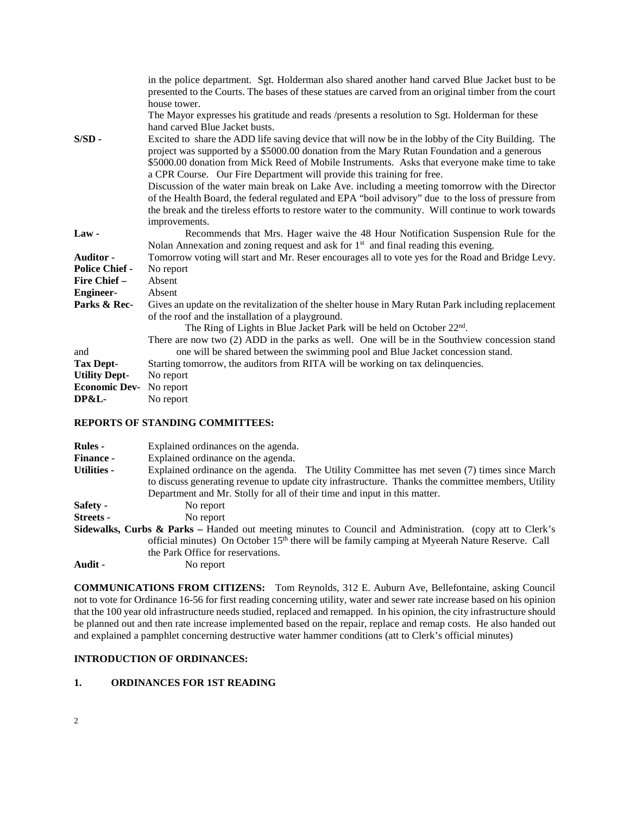|                       | in the police department. Sgt. Holderman also shared another hand carved Blue Jacket bust to be       |
|-----------------------|-------------------------------------------------------------------------------------------------------|
|                       | presented to the Courts. The bases of these statues are carved from an original timber from the court |
|                       | house tower.                                                                                          |
|                       | The Mayor expresses his gratitude and reads /presents a resolution to Sgt. Holderman for these        |
|                       | hand carved Blue Jacket busts.                                                                        |
| $S/SD -$              | Excited to share the ADD life saving device that will now be in the lobby of the City Building. The   |
|                       | project was supported by a \$5000.00 donation from the Mary Rutan Foundation and a generous           |
|                       | \$5000.00 donation from Mick Reed of Mobile Instruments. Asks that everyone make time to take         |
|                       | a CPR Course. Our Fire Department will provide this training for free.                                |
|                       | Discussion of the water main break on Lake Ave. including a meeting tomorrow with the Director        |
|                       | of the Health Board, the federal regulated and EPA "boil advisory" due to the loss of pressure from   |
|                       | the break and the tireless efforts to restore water to the community. Will continue to work towards   |
|                       | improvements.                                                                                         |
| Law-                  | Recommends that Mrs. Hager waive the 48 Hour Notification Suspension Rule for the                     |
|                       | Nolan Annexation and zoning request and ask for $1st$ and final reading this evening.                 |
| <b>Auditor</b> -      | Tomorrow voting will start and Mr. Reser encourages all to vote yes for the Road and Bridge Levy.     |
| <b>Police Chief -</b> | No report                                                                                             |
| Fire Chief –          | Absent                                                                                                |
| <b>Engineer-</b>      | Absent                                                                                                |
| Parks & Rec-          | Gives an update on the revitalization of the shelter house in Mary Rutan Park including replacement   |
|                       | of the roof and the installation of a playground.                                                     |
|                       | The Ring of Lights in Blue Jacket Park will be held on October 22 <sup>nd</sup> .                     |
|                       | There are now two (2) ADD in the parks as well. One will be in the Southview concession stand         |
| and                   | one will be shared between the swimming pool and Blue Jacket concession stand.                        |
| <b>Tax Dept-</b>      | Starting tomorrow, the auditors from RITA will be working on tax delinquencies.                       |
| <b>Utility Dept-</b>  | No report                                                                                             |
| <b>Economic Dev-</b>  | No report                                                                                             |
| DP&L-                 | No report                                                                                             |

### **REPORTS OF STANDING COMMITTEES:**

| <b>Rules</b> -     | Explained ordinances on the agenda.                                                                                  |
|--------------------|----------------------------------------------------------------------------------------------------------------------|
| <b>Finance -</b>   | Explained ordinance on the agenda.                                                                                   |
| <b>Utilities -</b> | Explained ordinance on the agenda. The Utility Committee has met seven (7) times since March                         |
|                    | to discuss generating revenue to update city infrastructure. Thanks the committee members, Utility                   |
|                    | Department and Mr. Stolly for all of their time and input in this matter.                                            |
| Safety -           | No report                                                                                                            |
| Streets -          | No report                                                                                                            |
|                    | <b>Sidewalks, Curbs &amp; Parks</b> – Handed out meeting minutes to Council and Administration. (copy att to Clerk's |
|                    | official minutes) On October 15 <sup>th</sup> there will be family camping at Myeerah Nature Reserve. Call           |
|                    | the Park Office for reservations.                                                                                    |
| Audit -            | No report                                                                                                            |

**COMMUNICATIONS FROM CITIZENS:** Tom Reynolds, 312 E. Auburn Ave, Bellefontaine, asking Council not to vote for Ordinance 16-56 for first reading concerning utility, water and sewer rate increase based on his opinion that the 100 year old infrastructure needs studied, replaced and remapped. In his opinion, the city infrastructure should be planned out and then rate increase implemented based on the repair, replace and remap costs. He also handed out and explained a pamphlet concerning destructive water hammer conditions (att to Clerk's official minutes)

# **INTRODUCTION OF ORDINANCES:**

# **1. ORDINANCES FOR 1ST READING**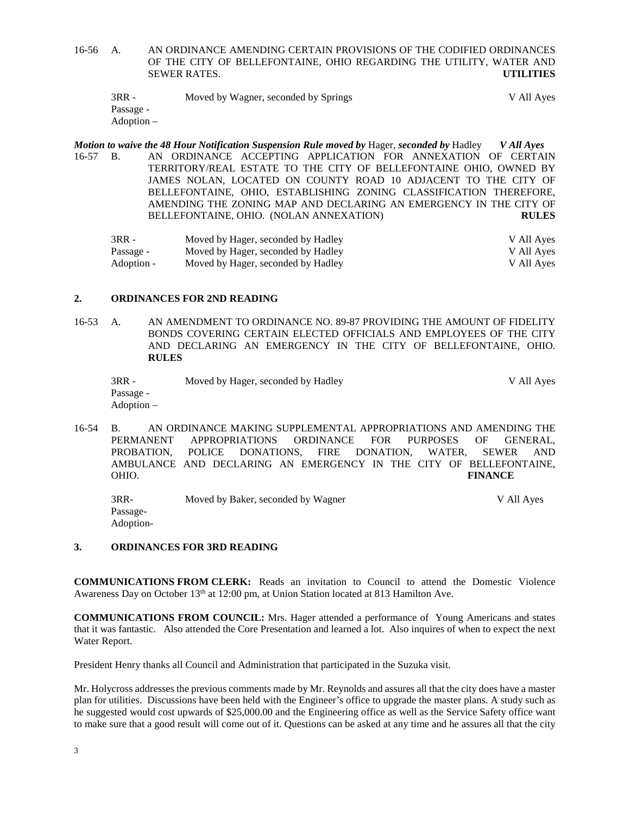16-56 A. AN ORDINANCE AMENDING CERTAIN PROVISIONS OF THE CODIFIED ORDINANCES OF THE CITY OF BELLEFONTAINE, OHIO REGARDING THE UTILITY, WATER AND SEWER RATES. **UTILITIES**

| $3RR -$    | Moved by Wagner, seconded by Springs | V All Ayes |
|------------|--------------------------------------|------------|
| Passage -  |                                      |            |
| Adoption – |                                      |            |

*Motion to waive the 48 Hour Notification Suspension Rule moved by* Hager, *seconded by* Hadley *V All Ayes* 16-57 B. AN ORDINANCE ACCEPTING APPLICATION FOR ANNEXATION OF CERTAIN TERRITORY/REAL ESTATE TO THE CITY OF BELLEFONTAINE OHIO, OWNED BY JAMES NOLAN, LOCATED ON COUNTY ROAD 10 ADJACENT TO THE CITY OF BELLEFONTAINE, OHIO, ESTABLISHING ZONING CLASSIFICATION THEREFORE, AMENDING THE ZONING MAP AND DECLARING AN EMERGENCY IN THE CITY OF BELLEFONTAINE, OHIO. (NOLAN ANNEXATION) **RULES**

| 3RR -      | Moved by Hager, seconded by Hadley | V All Ayes |
|------------|------------------------------------|------------|
| Passage -  | Moved by Hager, seconded by Hadley | V All Ayes |
| Adoption - | Moved by Hager, seconded by Hadley | V All Aves |

### **2. ORDINANCES FOR 2ND READING**

16-53 A. AN AMENDMENT TO ORDINANCE NO. 89-87 PROVIDING THE AMOUNT OF FIDELITY BONDS COVERING CERTAIN ELECTED OFFICIALS AND EMPLOYEES OF THE CITY AND DECLARING AN EMERGENCY IN THE CITY OF BELLEFONTAINE, OHIO. **RULES**

| 3RR -      | Moved by Hager, seconded by Hadley | V All Ayes |
|------------|------------------------------------|------------|
| Passage -  |                                    |            |
| Adoption – |                                    |            |

16-54 B. AN ORDINANCE MAKING SUPPLEMENTAL APPROPRIATIONS AND AMENDING THE PERMANENT APPROPRIATIONS ORDINANCE FOR PURPOSES OF GENERAL, APPROPRIATIONS ORDINANCE FOR PURPOSES OF PROBATION, POLICE DONATIONS, FIRE DONATION, WATER, SEWER AND AMBULANCE AND DECLARING AN EMERGENCY IN THE CITY OF BELLEFONTAINE, OHIO. **FINANCE**

3RR- Moved by Baker, seconded by Wagner V All Ayes Passage-Adoption-

### **3. ORDINANCES FOR 3RD READING**

**COMMUNICATIONS FROM CLERK:** Reads an invitation to Council to attend the Domestic Violence Awareness Day on October 13<sup>th</sup> at 12:00 pm, at Union Station located at 813 Hamilton Ave.

**COMMUNICATIONS FROM COUNCIL:** Mrs. Hager attended a performance of Young Americans and states that it was fantastic. Also attended the Core Presentation and learned a lot. Also inquires of when to expect the next Water Report.

President Henry thanks all Council and Administration that participated in the Suzuka visit.

Mr. Holycross addresses the previous comments made by Mr. Reynolds and assures all that the city does have a master plan for utilities. Discussions have been held with the Engineer's office to upgrade the master plans. A study such as he suggested would cost upwards of \$25,000.00 and the Engineering office as well as the Service Safety office want to make sure that a good result will come out of it. Questions can be asked at any time and he assures all that the city